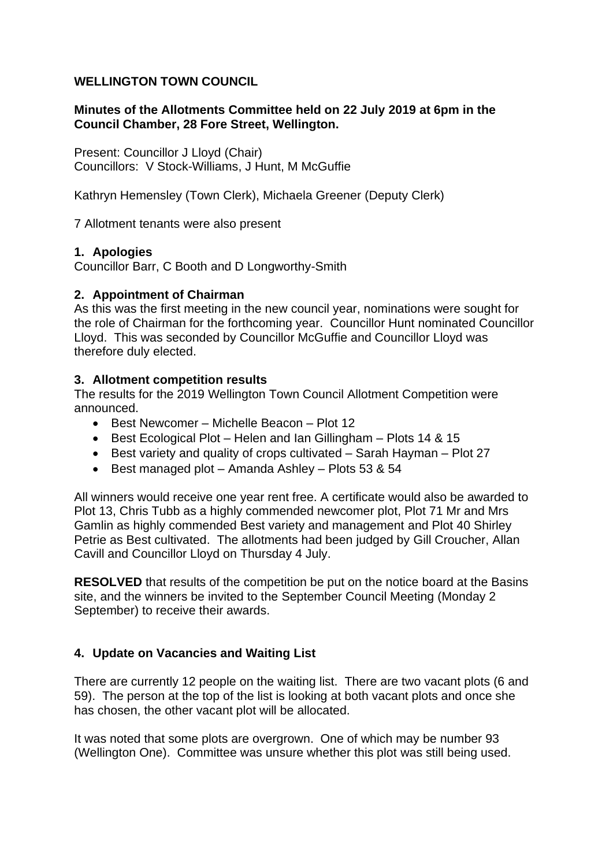### **WELLINGTON TOWN COUNCIL**

### **Minutes of the Allotments Committee held on 22 July 2019 at 6pm in the Council Chamber, 28 Fore Street, Wellington.**

Present: Councillor J Lloyd (Chair) Councillors: V Stock-Williams, J Hunt, M McGuffie

Kathryn Hemensley (Town Clerk), Michaela Greener (Deputy Clerk)

7 Allotment tenants were also present

### **1. Apologies**

Councillor Barr, C Booth and D Longworthy-Smith

# **2. Appointment of Chairman**

As this was the first meeting in the new council year, nominations were sought for the role of Chairman for the forthcoming year. Councillor Hunt nominated Councillor Lloyd. This was seconded by Councillor McGuffie and Councillor Lloyd was therefore duly elected.

### **3. Allotment competition results**

The results for the 2019 Wellington Town Council Allotment Competition were announced.

- Best Newcomer Michelle Beacon Plot 12
- Best Ecological Plot Helen and Ian Gillingham Plots 14 & 15
- Best variety and quality of crops cultivated Sarah Hayman Plot 27
- Best managed plot Amanda Ashley Plots 53 & 54

All winners would receive one year rent free. A certificate would also be awarded to Plot 13, Chris Tubb as a highly commended newcomer plot, Plot 71 Mr and Mrs Gamlin as highly commended Best variety and management and Plot 40 Shirley Petrie as Best cultivated. The allotments had been judged by Gill Croucher, Allan Cavill and Councillor Lloyd on Thursday 4 July.

**RESOLVED** that results of the competition be put on the notice board at the Basins site, and the winners be invited to the September Council Meeting (Monday 2 September) to receive their awards.

# **4. Update on Vacancies and Waiting List**

There are currently 12 people on the waiting list. There are two vacant plots (6 and 59). The person at the top of the list is looking at both vacant plots and once she has chosen, the other vacant plot will be allocated.

It was noted that some plots are overgrown. One of which may be number 93 (Wellington One). Committee was unsure whether this plot was still being used.